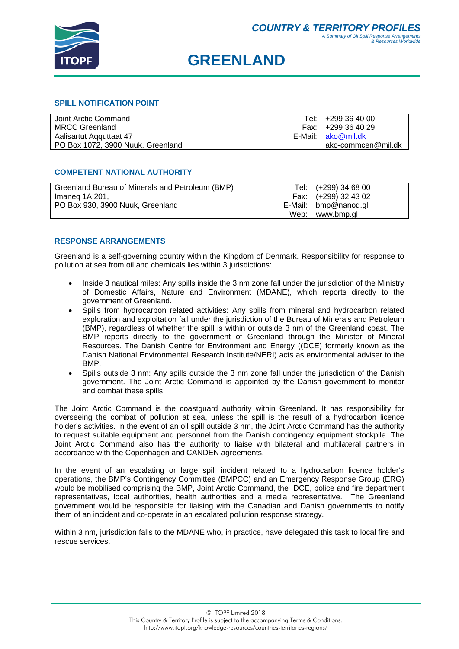

# **GREENLAND**

#### **SPILL NOTIFICATION POINT**

| Joint Arctic Command              | Tel: +299 36 40 00 |
|-----------------------------------|--------------------|
| <b>MRCC Greenland</b>             | Fax: +299 36 40 29 |
| Aalisartut Aqquttaat 47           | E-Mail: ako@mil.dk |
| PO Box 1072, 3900 Nuuk, Greenland | ako-commcen@mil.dk |

#### **COMPETENT NATIONAL AUTHORITY**

| Greenland Bureau of Minerals and Petroleum (BMP) | Tel: (+299) 34 68 00 |  |
|--------------------------------------------------|----------------------|--|
| Imaneg 1A 201,                                   | Fax: (+299) 32 43 02 |  |
| PO Box 930, 3900 Nuuk, Greenland                 | E-Mail: bmp@nanoq.gl |  |
|                                                  | Web: www.bmp.gl      |  |

### **RESPONSE ARRANGEMENTS**

Greenland is a self-governing country within the Kingdom of Denmark. Responsibility for response to pollution at sea from oil and chemicals lies within 3 jurisdictions:

- Inside 3 nautical miles: Any spills inside the 3 nm zone fall under the jurisdiction of the Ministry of Domestic Affairs, Nature and Environment (MDANE), which reports directly to the government of Greenland.
- Spills from hydrocarbon related activities: Any spills from mineral and hydrocarbon related exploration and exploitation fall under the jurisdiction of the Bureau of Minerals and Petroleum (BMP), regardless of whether the spill is within or outside 3 nm of the Greenland coast. The BMP reports directly to the government of Greenland through the Minister of Mineral Resources. The Danish Centre for Environment and Energy ((DCE) formerly known as the Danish National Environmental Research Institute/NERI) acts as environmental adviser to the BMP.
- Spills outside 3 nm: Any spills outside the 3 nm zone fall under the jurisdiction of the Danish government. The Joint Arctic Command is appointed by the Danish government to monitor and combat these spills.

The Joint Arctic Command is the coastguard authority within Greenland. It has responsibility for overseeing the combat of pollution at sea, unless the spill is the result of a hydrocarbon licence holder's activities. In the event of an oil spill outside 3 nm, the Joint Arctic Command has the authority to request suitable equipment and personnel from the Danish contingency equipment stockpile. The Joint Arctic Command also has the authority to liaise with bilateral and multilateral partners in accordance with the Copenhagen and CANDEN agreements.

In the event of an escalating or large spill incident related to a hydrocarbon licence holder's operations, the BMP's Contingency Committee (BMPCC) and an Emergency Response Group (ERG) would be mobilised comprising the BMP, Joint Arctic Command, the DCE, police and fire department representatives, local authorities, health authorities and a media representative. The Greenland government would be responsible for liaising with the Canadian and Danish governments to notify them of an incident and co-operate in an escalated pollution response strategy.

Within 3 nm, jurisdiction falls to the MDANE who, in practice, have delegated this task to local fire and rescue services.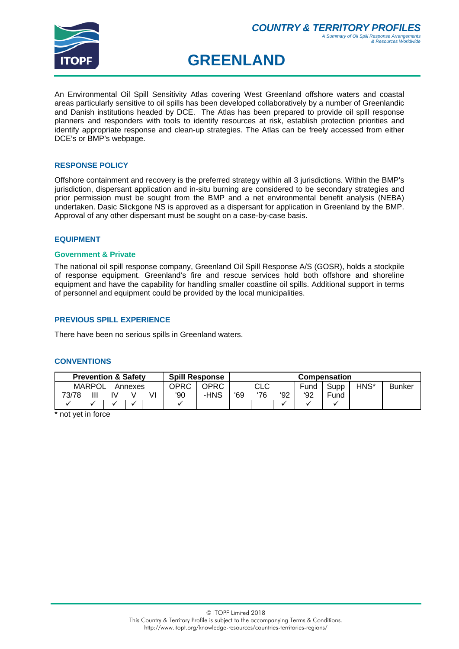

# **GREENLAND**

An Environmental Oil Spill Sensitivity Atlas covering West Greenland offshore waters and coastal areas particularly sensitive to oil spills has been developed collaboratively by a number of Greenlandic and Danish institutions headed by DCE. The Atlas has been prepared to provide oil spill response planners and responders with tools to identify resources at risk, establish protection priorities and identify appropriate response and clean-up strategies. The Atlas can be freely accessed from either DCE's or BMP's webpage.

# **RESPONSE POLICY**

Offshore containment and recovery is the preferred strategy within all 3 jurisdictions. Within the BMP's jurisdiction, dispersant application and in-situ burning are considered to be secondary strategies and prior permission must be sought from the BMP and a net environmental benefit analysis (NEBA) undertaken. Dasic Slickgone NS is approved as a dispersant for application in Greenland by the BMP. Approval of any other dispersant must be sought on a case-by-case basis.

# **EQUIPMENT**

#### **Government & Private**

The national oil spill response company, Greenland Oil Spill Response A/S (GOSR), holds a stockpile of response equipment. Greenland's fire and rescue services hold both offshore and shoreline equipment and have the capability for handling smaller coastline oil spills. Additional support in terms of personnel and equipment could be provided by the local municipalities.

# **PREVIOUS SPILL EXPERIENCE**

There have been no serious spills in Greenland waters.

#### **CONVENTIONS**

| <b>Spill Response</b><br><b>Prevention &amp; Safety</b> |        |    |         |    |      |      |     |     | <b>Compensation</b> |      |      |      |               |
|---------------------------------------------------------|--------|----|---------|----|------|------|-----|-----|---------------------|------|------|------|---------------|
|                                                         | MARPOL |    | Annexes |    | OPRC | OPRC |     | CLC |                     | Fund | Supp | HNS* | <b>Bunker</b> |
| 73/78                                                   | Ш      | I٧ |         | V١ | '90  | -HNS | '69 | '76 | '92                 | '92  | Fund |      |               |
|                                                         |        |    |         |    |      |      |     |     |                     |      |      |      |               |

\* not yet in force